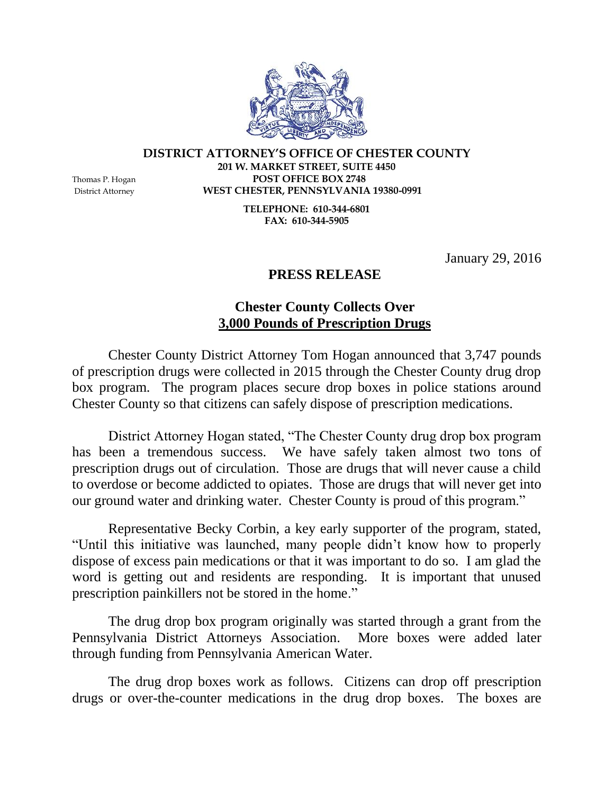

## **DISTRICT ATTORNEY'S OFFICE OF CHESTER COUNTY 201 W. MARKET STREET, SUITE 4450** Thomas P. Hogan **POST OFFICE BOX 2748**

District Attorney **WEST CHESTER, PENNSYLVANIA 19380-0991 TELEPHONE: 610-344-6801 FAX: 610-344-5905**

January 29, 2016

## **PRESS RELEASE**

## **Chester County Collects Over 3,000 Pounds of Prescription Drugs**

Chester County District Attorney Tom Hogan announced that 3,747 pounds of prescription drugs were collected in 2015 through the Chester County drug drop box program. The program places secure drop boxes in police stations around Chester County so that citizens can safely dispose of prescription medications.

District Attorney Hogan stated, "The Chester County drug drop box program has been a tremendous success. We have safely taken almost two tons of prescription drugs out of circulation. Those are drugs that will never cause a child to overdose or become addicted to opiates. Those are drugs that will never get into our ground water and drinking water. Chester County is proud of this program."

Representative Becky Corbin, a key early supporter of the program, stated, "Until this initiative was launched, many people didn't know how to properly dispose of excess pain medications or that it was important to do so. I am glad the word is getting out and residents are responding. It is important that unused prescription painkillers not be stored in the home."

The drug drop box program originally was started through a grant from the Pennsylvania District Attorneys Association. More boxes were added later through funding from Pennsylvania American Water.

The drug drop boxes work as follows. Citizens can drop off prescription drugs or over-the-counter medications in the drug drop boxes. The boxes are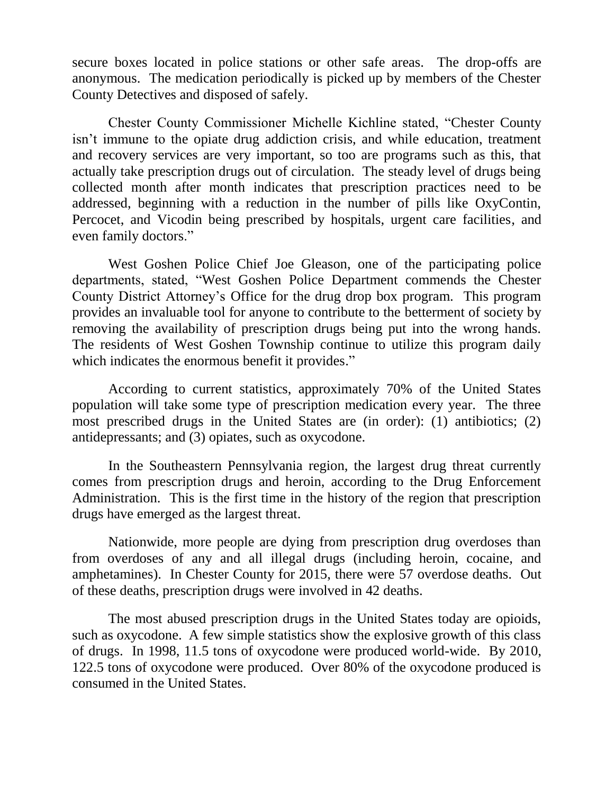secure boxes located in police stations or other safe areas. The drop-offs are anonymous. The medication periodically is picked up by members of the Chester County Detectives and disposed of safely.

Chester County Commissioner Michelle Kichline stated, "Chester County isn't immune to the opiate drug addiction crisis, and while education, treatment and recovery services are very important, so too are programs such as this, that actually take prescription drugs out of circulation. The steady level of drugs being collected month after month indicates that prescription practices need to be addressed, beginning with a reduction in the number of pills like OxyContin, Percocet, and Vicodin being prescribed by hospitals, urgent care facilities, and even family doctors."

West Goshen Police Chief Joe Gleason, one of the participating police departments, stated, "West Goshen Police Department commends the Chester County District Attorney's Office for the drug drop box program. This program provides an invaluable tool for anyone to contribute to the betterment of society by removing the availability of prescription drugs being put into the wrong hands. The residents of West Goshen Township continue to utilize this program daily which indicates the enormous benefit it provides."

According to current statistics, approximately 70% of the United States population will take some type of prescription medication every year. The three most prescribed drugs in the United States are (in order): (1) antibiotics; (2) antidepressants; and (3) opiates, such as oxycodone.

In the Southeastern Pennsylvania region, the largest drug threat currently comes from prescription drugs and heroin, according to the Drug Enforcement Administration. This is the first time in the history of the region that prescription drugs have emerged as the largest threat.

Nationwide, more people are dying from prescription drug overdoses than from overdoses of any and all illegal drugs (including heroin, cocaine, and amphetamines). In Chester County for 2015, there were 57 overdose deaths. Out of these deaths, prescription drugs were involved in 42 deaths.

The most abused prescription drugs in the United States today are opioids, such as oxycodone. A few simple statistics show the explosive growth of this class of drugs. In 1998, 11.5 tons of oxycodone were produced world-wide. By 2010, 122.5 tons of oxycodone were produced. Over 80% of the oxycodone produced is consumed in the United States.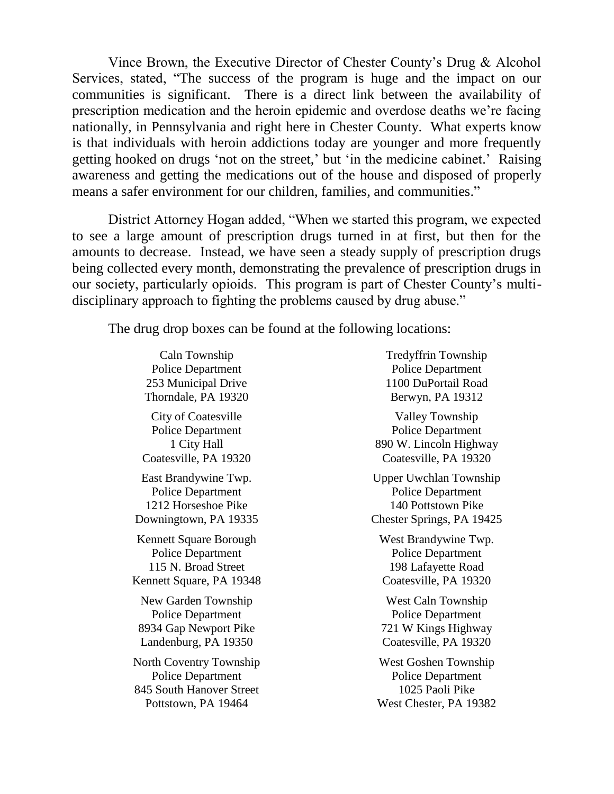Vince Brown, the Executive Director of Chester County's Drug & Alcohol Services, stated, "The success of the program is huge and the impact on our communities is significant. There is a direct link between the availability of prescription medication and the heroin epidemic and overdose deaths we're facing nationally, in Pennsylvania and right here in Chester County. What experts know is that individuals with heroin addictions today are younger and more frequently getting hooked on drugs 'not on the street,' but 'in the medicine cabinet.' Raising awareness and getting the medications out of the house and disposed of properly means a safer environment for our children, families, and communities."

District Attorney Hogan added, "When we started this program, we expected to see a large amount of prescription drugs turned in at first, but then for the amounts to decrease. Instead, we have seen a steady supply of prescription drugs being collected every month, demonstrating the prevalence of prescription drugs in our society, particularly opioids. This program is part of Chester County's multidisciplinary approach to fighting the problems caused by drug abuse."

The drug drop boxes can be found at the following locations:

Caln Township Police Department 253 Municipal Drive Thorndale, PA 19320 City of Coatesville Police Department 1 City Hall Coatesville, PA 19320 East Brandywine Twp. Police Department 1212 Horseshoe Pike Downingtown, PA 19335 Kennett Square Borough Police Department 115 N. Broad Street Kennett Square, PA 19348 New Garden Township Police Department 8934 Gap Newport Pike Landenburg, PA 19350 North Coventry Township

Police Department 845 South Hanover Street Pottstown, PA 19464

Tredyffrin Township Police Department 1100 DuPortail Road Berwyn, PA 19312

Valley Township Police Department 890 W. Lincoln Highway Coatesville, PA 19320

Upper Uwchlan Township Police Department 140 Pottstown Pike Chester Springs, PA 19425

West Brandywine Twp. Police Department 198 Lafayette Road Coatesville, PA 19320

West Caln Township Police Department 721 W Kings Highway Coatesville, PA 19320

West Goshen Township Police Department 1025 Paoli Pike West Chester, PA 19382